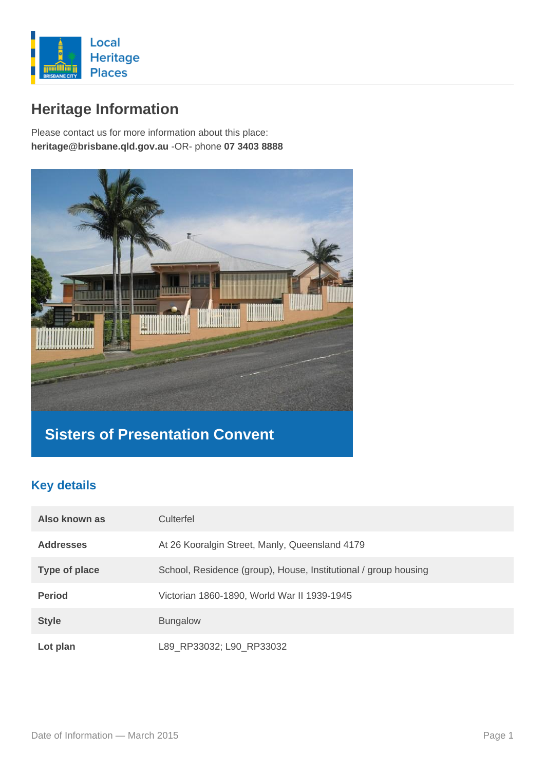

# **Heritage Information**

Please contact us for more information about this place: **heritage@brisbane.qld.gov.au** -OR- phone **07 3403 8888**



# **Sisters of Presentation Convent**

### **Key details**

| Also known as        | Culterfel                                                       |
|----------------------|-----------------------------------------------------------------|
| <b>Addresses</b>     | At 26 Kooralgin Street, Manly, Queensland 4179                  |
| <b>Type of place</b> | School, Residence (group), House, Institutional / group housing |
| <b>Period</b>        | Victorian 1860-1890, World War II 1939-1945                     |
| <b>Style</b>         | <b>Bungalow</b>                                                 |
| Lot plan             | L89 RP33032; L90 RP33032                                        |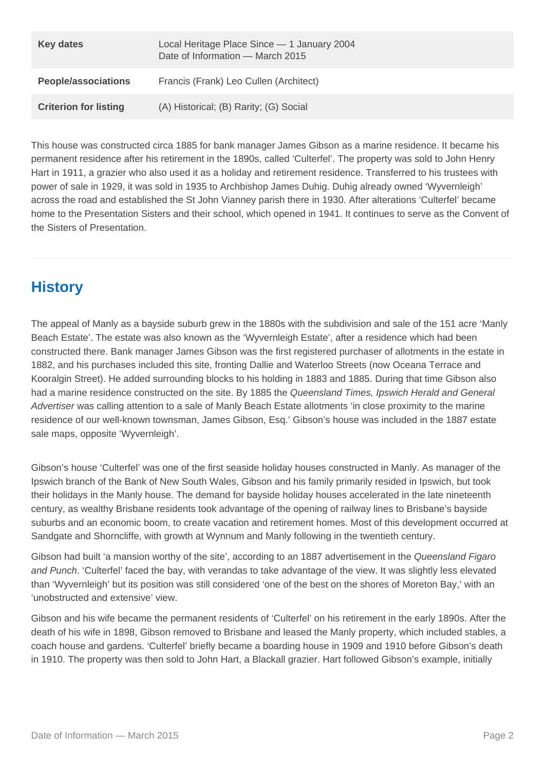| <b>Key dates</b>             | Local Heritage Place Since - 1 January 2004<br>Date of Information - March 2015 |
|------------------------------|---------------------------------------------------------------------------------|
| <b>People/associations</b>   | Francis (Frank) Leo Cullen (Architect)                                          |
| <b>Criterion for listing</b> | (A) Historical; (B) Rarity; (G) Social                                          |

This house was constructed circa 1885 for bank manager James Gibson as a marine residence. It became his permanent residence after his retirement in the 1890s, called 'Culterfel'. The property was sold to John Henry Hart in 1911, a grazier who also used it as a holiday and retirement residence. Transferred to his trustees with power of sale in 1929, it was sold in 1935 to Archbishop James Duhig. Duhig already owned 'Wyvernleigh' across the road and established the St John Vianney parish there in 1930. After alterations 'Culterfel' became home to the Presentation Sisters and their school, which opened in 1941. It continues to serve as the Convent of the Sisters of Presentation.

## **History**

The appeal of Manly as a bayside suburb grew in the 1880s with the subdivision and sale of the 151 acre 'Manly Beach Estate'. The estate was also known as the 'Wyvernleigh Estate', after a residence which had been constructed there. Bank manager James Gibson was the first registered purchaser of allotments in the estate in 1882, and his purchases included this site, fronting Dallie and Waterloo Streets (now Oceana Terrace and Kooralgin Street). He added surrounding blocks to his holding in 1883 and 1885. During that time Gibson also had a marine residence constructed on the site. By 1885 the Queensland Times, Ipswich Herald and General Advertiser was calling attention to a sale of Manly Beach Estate allotments 'in close proximity to the marine residence of our well-known townsman, James Gibson, Esq.' Gibson's house was included in the 1887 estate sale maps, opposite 'Wyvernleigh'.

Gibson's house 'Culterfel' was one of the first seaside holiday houses constructed in Manly. As manager of the Ipswich branch of the Bank of New South Wales, Gibson and his family primarily resided in Ipswich, but took their holidays in the Manly house. The demand for bayside holiday houses accelerated in the late nineteenth century, as wealthy Brisbane residents took advantage of the opening of railway lines to Brisbane's bayside suburbs and an economic boom, to create vacation and retirement homes. Most of this development occurred at Sandgate and Shorncliffe, with growth at Wynnum and Manly following in the twentieth century.

Gibson had built 'a mansion worthy of the site', according to an 1887 advertisement in the Queensland Figaro and Punch. 'Culterfel' faced the bay, with verandas to take advantage of the view. It was slightly less elevated than 'Wyvernleigh' but its position was still considered 'one of the best on the shores of Moreton Bay,' with an 'unobstructed and extensive' view.

Gibson and his wife became the permanent residents of 'Culterfel' on his retirement in the early 1890s. After the death of his wife in 1898, Gibson removed to Brisbane and leased the Manly property, which included stables, a coach house and gardens. 'Culterfel' briefly became a boarding house in 1909 and 1910 before Gibson's death in 1910. The property was then sold to John Hart, a Blackall grazier. Hart followed Gibson's example, initially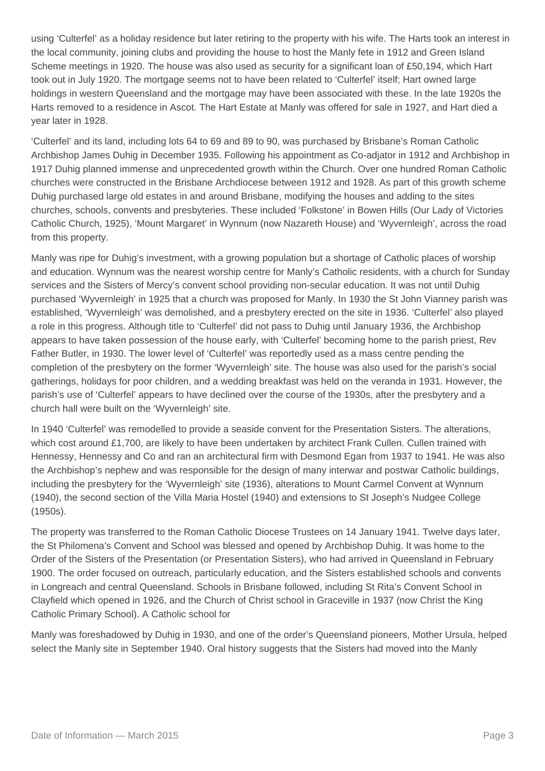using 'Culterfel' as a holiday residence but later retiring to the property with his wife. The Harts took an interest in the local community, joining clubs and providing the house to host the Manly fete in 1912 and Green Island Scheme meetings in 1920. The house was also used as security for a significant loan of £50,194, which Hart took out in July 1920. The mortgage seems not to have been related to 'Culterfel' itself; Hart owned large holdings in western Queensland and the mortgage may have been associated with these. In the late 1920s the Harts removed to a residence in Ascot. The Hart Estate at Manly was offered for sale in 1927, and Hart died a year later in 1928.

'Culterfel' and its land, including lots 64 to 69 and 89 to 90, was purchased by Brisbane's Roman Catholic Archbishop James Duhig in December 1935. Following his appointment as Co-adjator in 1912 and Archbishop in 1917 Duhig planned immense and unprecedented growth within the Church. Over one hundred Roman Catholic churches were constructed in the Brisbane Archdiocese between 1912 and 1928. As part of this growth scheme Duhig purchased large old estates in and around Brisbane, modifying the houses and adding to the sites churches, schools, convents and presbyteries. These included 'Folkstone' in Bowen Hills (Our Lady of Victories Catholic Church, 1925), 'Mount Margaret' in Wynnum (now Nazareth House) and 'Wyvernleigh', across the road from this property.

Manly was ripe for Duhig's investment, with a growing population but a shortage of Catholic places of worship and education. Wynnum was the nearest worship centre for Manly's Catholic residents, with a church for Sunday services and the Sisters of Mercy's convent school providing non-secular education. It was not until Duhig purchased 'Wyvernleigh' in 1925 that a church was proposed for Manly. In 1930 the St John Vianney parish was established, 'Wyvernleigh' was demolished, and a presbytery erected on the site in 1936. 'Culterfel' also played a role in this progress. Although title to 'Culterfel' did not pass to Duhig until January 1936, the Archbishop appears to have taken possession of the house early, with 'Culterfel' becoming home to the parish priest, Rev Father Butler, in 1930. The lower level of 'Culterfel' was reportedly used as a mass centre pending the completion of the presbytery on the former 'Wyvernleigh' site. The house was also used for the parish's social gatherings, holidays for poor children, and a wedding breakfast was held on the veranda in 1931. However, the parish's use of 'Culterfel' appears to have declined over the course of the 1930s, after the presbytery and a church hall were built on the 'Wyvernleigh' site.

In 1940 'Culterfel' was remodelled to provide a seaside convent for the Presentation Sisters. The alterations, which cost around £1,700, are likely to have been undertaken by architect Frank Cullen. Cullen trained with Hennessy, Hennessy and Co and ran an architectural firm with Desmond Egan from 1937 to 1941. He was also the Archbishop's nephew and was responsible for the design of many interwar and postwar Catholic buildings, including the presbytery for the 'Wyvernleigh' site (1936), alterations to Mount Carmel Convent at Wynnum (1940), the second section of the Villa Maria Hostel (1940) and extensions to St Joseph's Nudgee College (1950s).

The property was transferred to the Roman Catholic Diocese Trustees on 14 January 1941. Twelve days later, the St Philomena's Convent and School was blessed and opened by Archbishop Duhig. It was home to the Order of the Sisters of the Presentation (or Presentation Sisters), who had arrived in Queensland in February 1900. The order focused on outreach, particularly education, and the Sisters established schools and convents in Longreach and central Queensland. Schools in Brisbane followed, including St Rita's Convent School in Clayfield which opened in 1926, and the Church of Christ school in Graceville in 1937 (now Christ the King Catholic Primary School). A Catholic school for

Manly was foreshadowed by Duhig in 1930, and one of the order's Queensland pioneers, Mother Ursula, helped select the Manly site in September 1940. Oral history suggests that the Sisters had moved into the Manly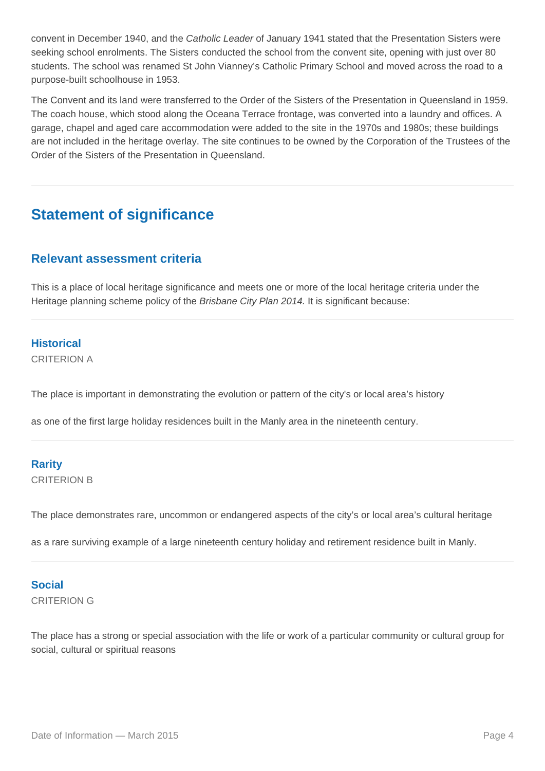convent in December 1940, and the Catholic Leader of January 1941 stated that the Presentation Sisters were seeking school enrolments. The Sisters conducted the school from the convent site, opening with just over 80 students. The school was renamed St John Vianney's Catholic Primary School and moved across the road to a purpose-built schoolhouse in 1953.

The Convent and its land were transferred to the Order of the Sisters of the Presentation in Queensland in 1959. The coach house, which stood along the Oceana Terrace frontage, was converted into a laundry and offices. A garage, chapel and aged care accommodation were added to the site in the 1970s and 1980s; these buildings are not included in the heritage overlay. The site continues to be owned by the Corporation of the Trustees of the Order of the Sisters of the Presentation in Queensland.

### **Statement of significance**

#### **Relevant assessment criteria**

This is a place of local heritage significance and meets one or more of the local heritage criteria under the Heritage planning scheme policy of the Brisbane City Plan 2014. It is significant because:

#### **Historical**

CRITERION A

The place is important in demonstrating the evolution or pattern of the city's or local area's history

as one of the first large holiday residences built in the Manly area in the nineteenth century.

#### **Rarity**

CRITERION B

The place demonstrates rare, uncommon or endangered aspects of the city's or local area's cultural heritage

as a rare surviving example of a large nineteenth century holiday and retirement residence built in Manly.

#### **Social**

CRITERION G

The place has a strong or special association with the life or work of a particular community or cultural group for social, cultural or spiritual reasons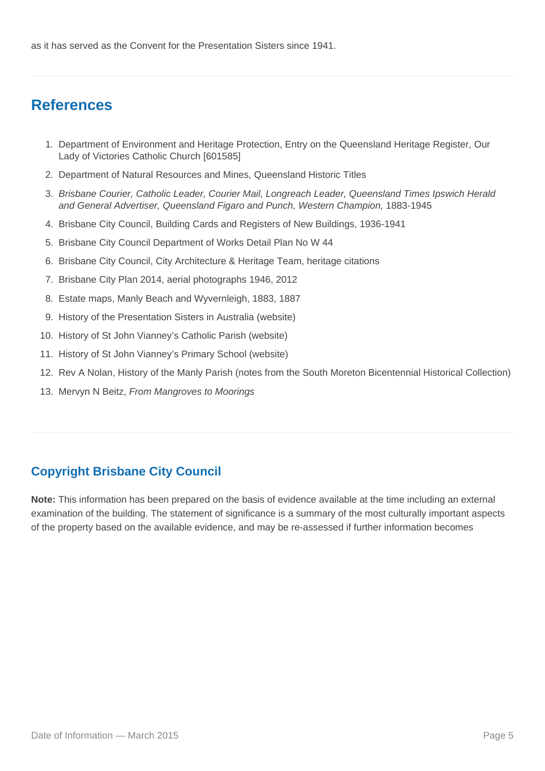## **References**

- 1. Department of Environment and Heritage Protection, Entry on the Queensland Heritage Register, Our Lady of Victories Catholic Church [601585]
- 2. Department of Natural Resources and Mines, Queensland Historic Titles
- 3. Brisbane Courier, Catholic Leader, Courier Mail, Longreach Leader, Queensland Times Ipswich Herald and General Advertiser, Queensland Figaro and Punch, Western Champion, 1883-1945
- 4. Brisbane City Council, Building Cards and Registers of New Buildings, 1936-1941
- 5. Brisbane City Council Department of Works Detail Plan No W 44
- 6. Brisbane City Council, City Architecture & Heritage Team, heritage citations
- 7. Brisbane City Plan 2014, aerial photographs 1946, 2012
- 8. Estate maps, Manly Beach and Wyvernleigh, 1883, 1887
- 9. History of the Presentation Sisters in Australia (website)
- 10. History of St John Vianney's Catholic Parish (website)
- 11. History of St John Vianney's Primary School (website)
- 12. Rev A Nolan, History of the Manly Parish (notes from the South Moreton Bicentennial Historical Collection)
- 13. Mervyn N Beitz, From Mangroves to Moorings

### **Copyright Brisbane City Council**

**Note:** This information has been prepared on the basis of evidence available at the time including an external examination of the building. The statement of significance is a summary of the most culturally important aspects of the property based on the available evidence, and may be re-assessed if further information becomes